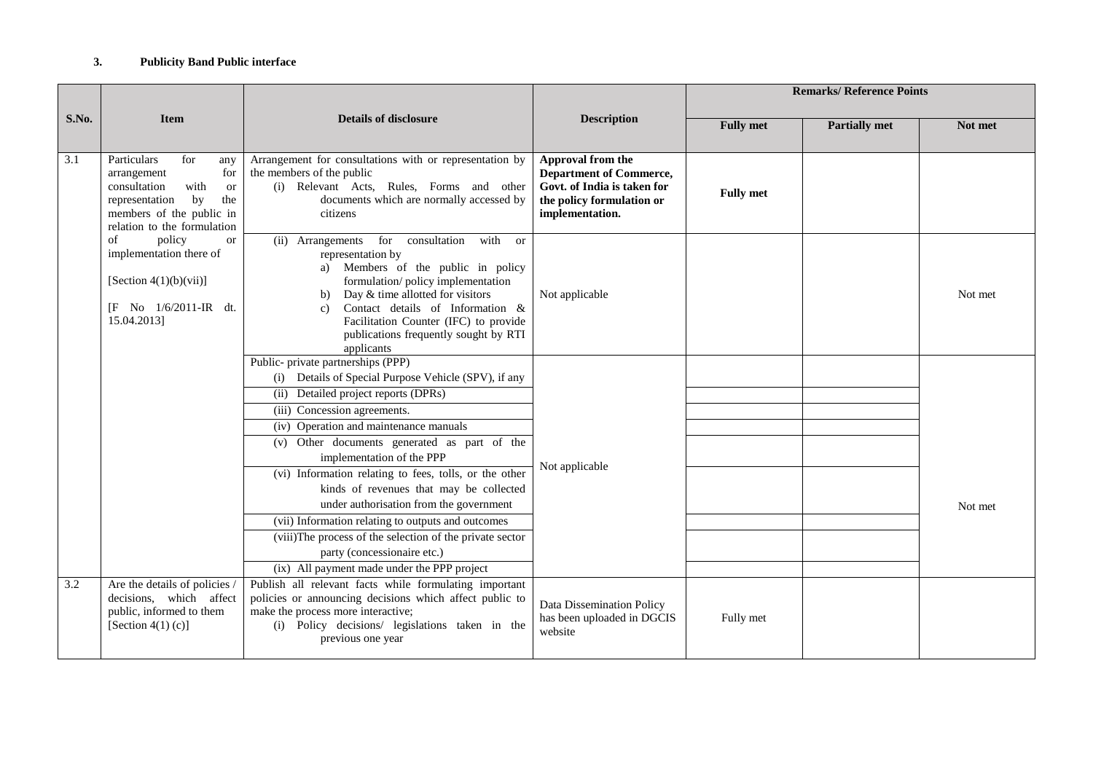## **3. Publicity Band Public interface**

| S.No. | <b>Item</b>                                                                                                                                                                    | <b>Details of disclosure</b>                                                                                                                                                                                                                                                                                                                                                                                                                                                                                                                                                                                                               | <b>Description</b>                                                                                                                 | <b>Remarks/ Reference Points</b> |                      |         |
|-------|--------------------------------------------------------------------------------------------------------------------------------------------------------------------------------|--------------------------------------------------------------------------------------------------------------------------------------------------------------------------------------------------------------------------------------------------------------------------------------------------------------------------------------------------------------------------------------------------------------------------------------------------------------------------------------------------------------------------------------------------------------------------------------------------------------------------------------------|------------------------------------------------------------------------------------------------------------------------------------|----------------------------------|----------------------|---------|
|       |                                                                                                                                                                                |                                                                                                                                                                                                                                                                                                                                                                                                                                                                                                                                                                                                                                            |                                                                                                                                    | <b>Fully met</b>                 | <b>Partially met</b> | Not met |
| 3.1   | Particulars<br>for<br>any<br>arrangement<br>for<br>consultation<br>with<br><b>or</b><br>representation<br>by<br>the<br>members of the public in<br>relation to the formulation | Arrangement for consultations with or representation by<br>the members of the public<br>(i) Relevant Acts, Rules, Forms and other<br>documents which are normally accessed by<br>citizens                                                                                                                                                                                                                                                                                                                                                                                                                                                  | Approval from the<br><b>Department of Commerce,</b><br>Govt. of India is taken for<br>the policy formulation or<br>implementation. | <b>Fully met</b>                 |                      |         |
|       | policy<br>of<br><b>or</b><br>implementation there of<br>[Section $4(1)(b)(vii)$ ]<br>[F No 1/6/2011-IR dt.<br>15.04.2013]                                                      | (ii) Arrangements for<br>consultation<br>with<br><b>or</b><br>representation by<br>Members of the public in policy<br>formulation/policy implementation<br>Day & time allotted for visitors<br>b)<br>Contact details of Information &<br>$\mathbf{c}$<br>Facilitation Counter (IFC) to provide<br>publications frequently sought by RTI<br>applicants                                                                                                                                                                                                                                                                                      | Not applicable                                                                                                                     |                                  |                      | Not met |
|       |                                                                                                                                                                                | Public- private partnerships (PPP)<br>(i) Details of Special Purpose Vehicle (SPV), if any<br>(ii) Detailed project reports (DPRs)<br>(iii) Concession agreements.<br>(iv) Operation and maintenance manuals<br>(v) Other documents generated as part of the<br>implementation of the PPP<br>(vi) Information relating to fees, tolls, or the other<br>kinds of revenues that may be collected<br>under authorisation from the government<br>(vii) Information relating to outputs and outcomes<br>(viii) The process of the selection of the private sector<br>party (concessionaire etc.)<br>(ix) All payment made under the PPP project | Not applicable                                                                                                                     |                                  |                      | Not met |
| 3.2   | Are the details of policies /<br>decisions, which affect<br>public, informed to them<br>[Section 4(1) $(c)$ ]                                                                  | Publish all relevant facts while formulating important<br>policies or announcing decisions which affect public to<br>make the process more interactive;<br>(i) Policy decisions/ legislations taken in the<br>previous one year                                                                                                                                                                                                                                                                                                                                                                                                            | Data Dissemination Policy<br>has been uploaded in DGCIS<br>website                                                                 | Fully met                        |                      |         |